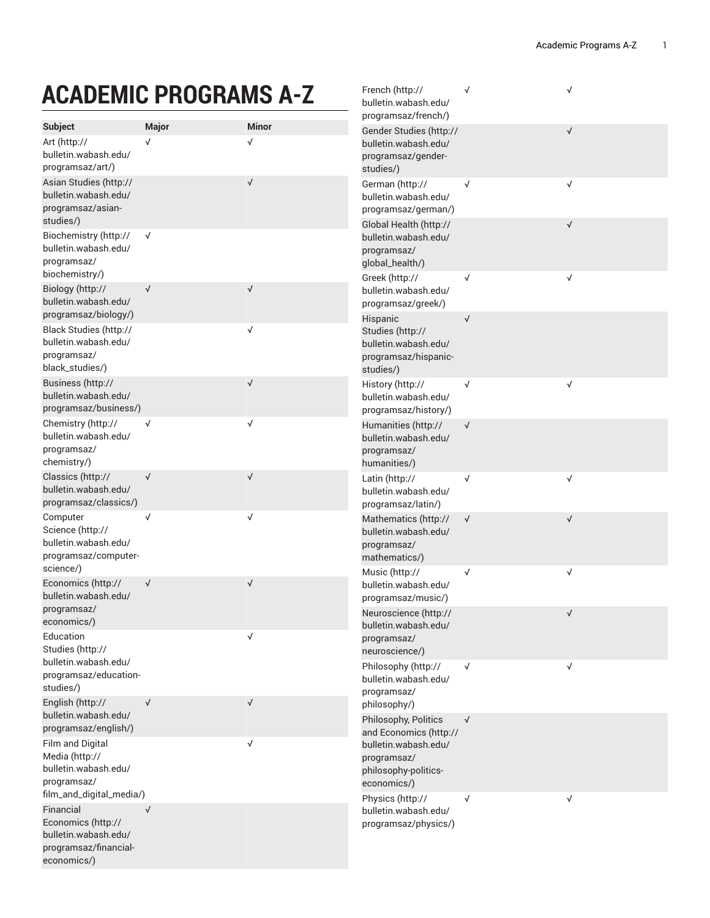√

## **ACADEMIC PROGRAMS A-Z**

|                                                                                                                             | AUADEIVIIU FNUUNAIVIJ A"Z |                           | bulletin.wabash.edu/<br>programsaz/french/)                                               |              |              |
|-----------------------------------------------------------------------------------------------------------------------------|---------------------------|---------------------------|-------------------------------------------------------------------------------------------|--------------|--------------|
| <b>Subject</b><br>Art (http://<br>bulletin.wabash.edu/<br>programsaz/art/)                                                  | Major<br>√                | <b>Minor</b><br>$\sqrt{}$ | Gender Studies (http://<br>bulletin.wabash.edu/<br>programsaz/gender-<br>studies/)        |              | √            |
| Asian Studies (http://<br>bulletin.wabash.edu/<br>programsaz/asian-<br>studies/)                                            |                           | $\sqrt{}$                 | German (http://<br>bulletin.wabash.edu/<br>programsaz/german/)                            | $\checkmark$ | √            |
| Biochemistry (http://<br>bulletin.wabash.edu/<br>programsaz/                                                                | $\sqrt{}$                 |                           | Global Health (http://<br>bulletin.wabash.edu/<br>programsaz/<br>global_health/)          |              | $\sqrt{}$    |
| biochemistry/)<br>Biology (http://<br>bulletin.wabash.edu/<br>programsaz/biology/)                                          | $\sqrt{ }$                | $\sqrt{}$                 | Greek (http://<br>bulletin.wabash.edu/<br>programsaz/greek/)                              | $\checkmark$ | $\checkmark$ |
| Black Studies (http://<br>bulletin.wabash.edu/<br>programsaz/<br>black_studies/)                                            |                           | $\checkmark$              | Hispanic<br>Studies (http://<br>bulletin.wabash.edu/<br>programsaz/hispanic-<br>studies/) | $\checkmark$ |              |
| Business (http://<br>bulletin.wabash.edu/<br>programsaz/business/)                                                          |                           | $\sqrt{}$                 | History (http://<br>bulletin.wabash.edu/<br>programsaz/history/)                          | √            | √            |
| Chemistry (http://<br>bulletin.wabash.edu/<br>programsaz/<br>chemistry/)                                                    | $\sqrt{}$                 | $\checkmark$              | Humanities (http://<br>bulletin.wabash.edu/<br>programsaz/<br>humanities/)                | $\sqrt{ }$   |              |
| Classics (http://<br>bulletin.wabash.edu/<br>programsaz/classics/)                                                          | $\sqrt{ }$                | $\sqrt{}$                 | Latin (http://<br>bulletin.wabash.edu/<br>programsaz/latin/)                              | √            | √            |
| Computer<br>Science (http://<br>bulletin.wabash.edu/<br>programsaz/computer-<br>science/)                                   | $\sqrt{}$                 | $\sqrt{}$                 | Mathematics (http://<br>bulletin.wabash.edu/<br>programsaz/<br>mathematics/)              | $\sqrt{ }$   | $\sqrt{}$    |
| Economics (http://<br>bulletin.wabash.edu/                                                                                  | $\sqrt{ }$                | $\sqrt{}$                 | Music (http://<br>bulletin.wabash.edu/<br>programsaz/music/)                              | $\sqrt{}$    | √            |
| programsaz/<br>economics/)<br>Education<br>Studies (http://                                                                 |                           | √                         | Neuroscience (http://<br>bulletin.wabash.edu/<br>programsaz/                              |              | √            |
| bulletin.wabash.edu/<br>programsaz/education-<br>studies/)                                                                  |                           |                           | neuroscience/)<br>Philosophy (http://<br>bulletin.wabash.edu/<br>programsaz/              | √            | $\checkmark$ |
| English (http://<br>bulletin.wabash.edu/<br>programsaz/english/)                                                            | $\sqrt{ }$                | $\sqrt{}$                 | philosophy/)<br>Philosophy, Politics<br>and Economics (http://                            | $\sqrt{ }$   |              |
| Film and Digital<br>Media (http://<br>bulletin.wabash.edu/<br>programsaz/                                                   |                           | $\checkmark$              | bulletin.wabash.edu/<br>programsaz/<br>philosophy-politics-<br>economics/)                |              |              |
| film_and_digital_media/)<br>Financial<br>Economics (http://<br>bulletin.wabash.edu/<br>programsaz/financial-<br>economics/) | $\sqrt{}$                 |                           | Physics (http://<br>bulletin.wabash.edu/<br>programsaz/physics/)                          | √            | √            |

[F](http://bulletin.wabash.edu/programsaz/french/) r e n c h ([http://](http://bulletin.wabash.edu/programsaz/french/)

√